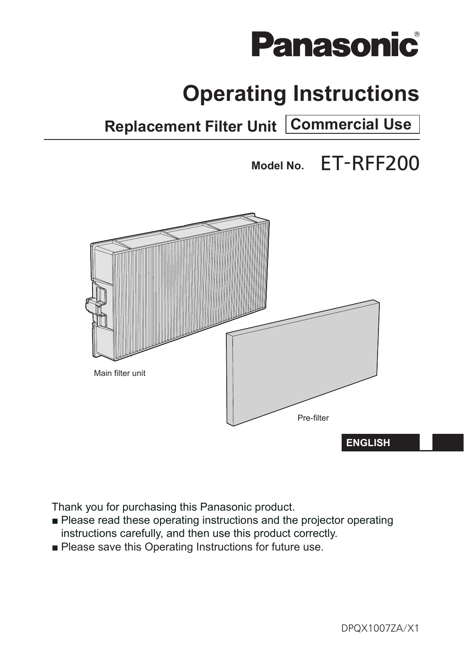

# **Operating Instructions**

**Replacement Filter Unit Commercial Use**

**Model No.** ET-RFF200



Thank you for purchasing this Panasonic product.

- Please read these operating instructions and the projector operating instructions carefully, and then use this product correctly.
- Please save this Operating Instructions for future use.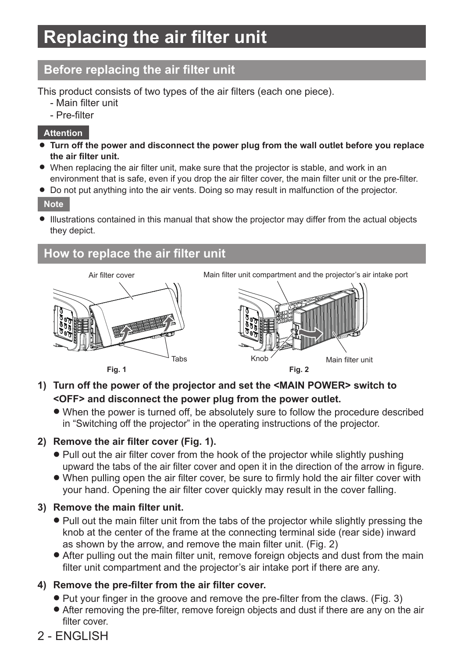## **Replacing the air filter unit**

### **Before replacing the air filter unit**

This product consists of two types of the air filters (each one piece).

- Main filter unit
- Pre-filter

#### **Attention**

- Turn off the power and disconnect the power plug from the wall outlet before you replace **the air filter unit.**
- When replacing the air filter unit, make sure that the projector is stable, and work in an environment that is safe, even if you drop the air filter cover, the main filter unit or the pre-filter.
- Do not put anything into the air vents. Doing so may result in malfunction of the projector.

**Note**

• Illustrations contained in this manual that show the projector may differ from the actual objects they depict.

### **How to replace the air filter unit**



Air filter cover Main filter unit compartment and the projector's air intake port



**Fig. 1**

- **1) Turn off the power of the projector and set the <MAIN POWER> switch to <OFF> and disconnect the power plug from the power outlet.**
	- $\bullet$  When the power is turned off, be absolutely sure to follow the procedure described in "Switching off the projector" in the operating instructions of the projector.

### **2) Remove the air filter cover (Fig. 1).**

- Pull out the air filter cover from the hook of the projector while slightly pushing upward the tabs of the air filter cover and open it in the direction of the arrow in figure.
- When pulling open the air filter cover, be sure to firmly hold the air filter cover with your hand. Opening the air filter cover quickly may result in the cover falling.

### **3) Remove the main filter unit.**

- Pull out the main filter unit from the tabs of the projector while slightly pressing the knob at the center of the frame at the connecting terminal side (rear side) inward as shown by the arrow, and remove the main filter unit. (Fig. 2)
- After pulling out the main filter unit, remove foreign objects and dust from the main filter unit compartment and the projector's air intake port if there are any.

### **4) Remove the pre-filter from the air filter cover.**

- Put your finger in the groove and remove the pre-filter from the claws. (Fig. 3)
- After removing the pre-filter, remove foreign objects and dust if there are any on the air filter cover

### 2 - ENGLISH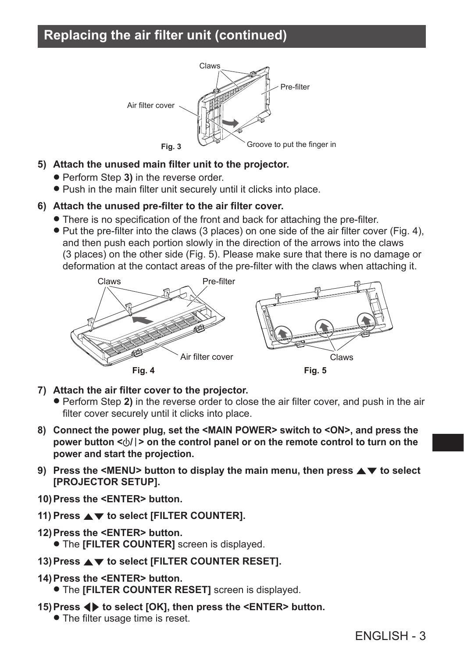### **Replacing the air filter unit (continued)**



#### **5) Attach the unused main filter unit to the projector.**

- Perform Step 3) in the reverse order.
- Push in the main filter unit securely until it clicks into place.

#### **6) Attach the unused pre-filter to the air filter cover.**

- There is no specification of the front and back for attaching the pre-filter.
- $\bullet$  Put the pre-filter into the claws (3 places) on one side of the air filter cover (Fig. 4), and then push each portion slowly in the direction of the arrows into the claws (3 places) on the other side (Fig. 5). Please make sure that there is no damage or deformation at the contact areas of the pre-filter with the claws when attaching it.



- **7) Attach the air filter cover to the projector.**
	- **Perform Step 2)** in the reverse order to close the air filter cover, and push in the air filter cover securely until it clicks into place.
- **8) Connect the power plug, set the <MAIN POWER> switch to <ON>, and press the power button <** $\langle \cdot | \cdot \rangle$  **on the control panel or on the remote control to turn on the power and start the projection.**
- **9)** Press the <MENU> button to display the main menu, then press  $\triangle \blacktriangledown$  to select **[PROJECTOR SETUP].**
- **10)Press the <ENTER> button.**
- 11) Press  $\triangle$  **v** to select [FILTER COUNTER].
- **12)Press the <ENTER> button. • The <b>[FILTER COUNTER]** screen is displayed.
- 13) Press  $\blacktriangle$  **v** to select [FILTER COUNTER RESET].
- **14)Press the <ENTER> button.**
	- **The <b>[FILTER COUNTER RESET]** screen is displayed.
- **15)Press** qw **to select [OK], then press the <ENTER> button.**
	- The filter usage time is reset.